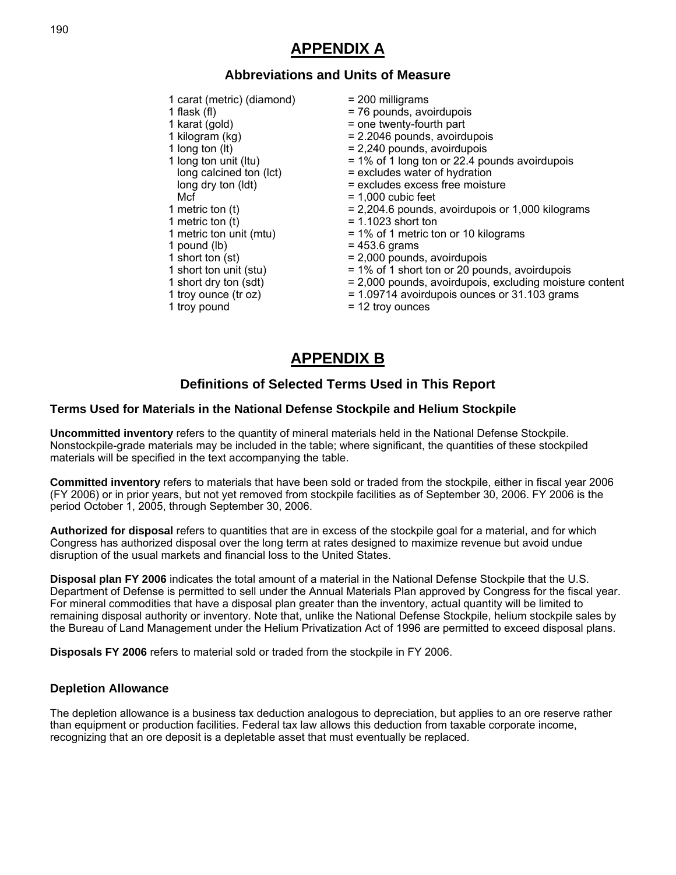# **APPENDIX A**

## **Abbreviations and Units of Measure**

- 1 carat (metric) (diamond) = 200 milligrams
- 
- 
- 
- 
- 
- 
- 
- 
- 
- 1 metric ton (t)  $= 1.1023$  short ton<br>1 metric ton unit (mtu)  $= 1\%$  of 1 metric to
- 
- 
- 
- 
- 
- 
- 
- 1 flask (fl)  $= 76$  pounds, avoirdupois
- 1 karat (gold)  $=$  one twenty-fourth part
- 1 kilogram (kg) = 2.2046 pounds, avoirdupois
- $1$  long ton (It)  $= 2.240$  pounds, avoirdupois
- 1 long ton unit (ltu)  $= 1\%$  of 1 long ton or 22.4 pounds avoirdupois
	- $long$  calcined ton (lct)  $=$  excludes water of hydration
	- $long dry ton (ldt)$  = excludes excess free moisture
	- $Mcf$  = 1,000 cubic feet
- 1 metric ton (t)  $= 2,204.6$  pounds, avoirdupois or 1,000 kilograms
	-
	- $= 1\%$  of 1 metric ton or 10 kilograms
- $1$  pound (lb)  $= 453.6$  grams
- 1 short ton  $(st)$  = 2,000 pounds, avoirdupois
- 1 short ton unit (stu) = 1% of 1 short ton or 20 pounds, avoirdupois
- 1 short dry ton (sdt) = 2,000 pounds, avoirdupois, excluding moisture content
- 1 troy ounce (tr oz)  $= 1.09714$  avoirdupois ounces or 31.103 grams<br>1 troy pound  $= 12$  troy ounces
	- $= 12$  troy ounces

# **APPENDIX B**

## **Definitions of Selected Terms Used in This Report**

## **Terms Used for Materials in the National Defense Stockpile and Helium Stockpile**

**Uncommitted inventory** refers to the quantity of mineral materials held in the National Defense Stockpile. Nonstockpile-grade materials may be included in the table; where significant, the quantities of these stockpiled materials will be specified in the text accompanying the table.

**Committed inventory** refers to materials that have been sold or traded from the stockpile, either in fiscal year 2006 (FY 2006) or in prior years, but not yet removed from stockpile facilities as of September 30, 2006. FY 2006 is the period October 1, 2005, through September 30, 2006.

**Authorized for disposal** refers to quantities that are in excess of the stockpile goal for a material, and for which Congress has authorized disposal over the long term at rates designed to maximize revenue but avoid undue disruption of the usual markets and financial loss to the United States.

**Disposal plan FY 2006** indicates the total amount of a material in the National Defense Stockpile that the U.S. Department of Defense is permitted to sell under the Annual Materials Plan approved by Congress for the fiscal year. For mineral commodities that have a disposal plan greater than the inventory, actual quantity will be limited to remaining disposal authority or inventory. Note that, unlike the National Defense Stockpile, helium stockpile sales by the Bureau of Land Management under the Helium Privatization Act of 1996 are permitted to exceed disposal plans.

**Disposals FY 2006** refers to material sold or traded from the stockpile in FY 2006.

## **Depletion Allowance**

The depletion allowance is a business tax deduction analogous to depreciation, but applies to an ore reserve rather than equipment or production facilities. Federal tax law allows this deduction from taxable corporate income, recognizing that an ore deposit is a depletable asset that must eventually be replaced.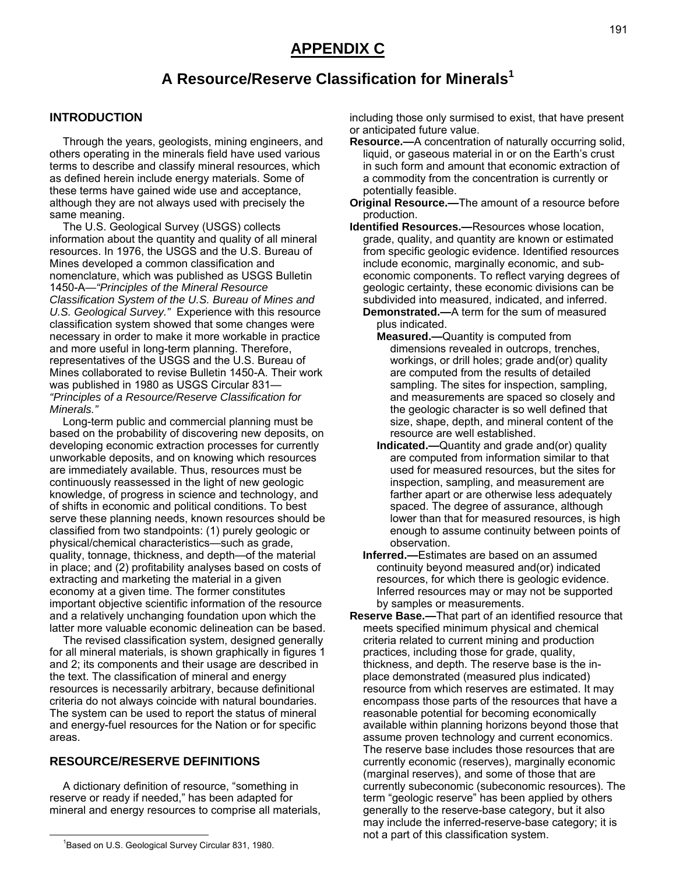# **A Resource/Reserve Classification for Minerals<sup>1</sup>**

## **INTRODUCTION**

 Through the years, geologists, mining engineers, and others operating in the minerals field have used various terms to describe and classify mineral resources, which as defined herein include energy materials. Some of these terms have gained wide use and acceptance, although they are not always used with precisely the same meaning.

 The U.S. Geological Survey (USGS) collects information about the quantity and quality of all mineral resources. In 1976, the USGS and the U.S. Bureau of Mines developed a common classification and nomenclature, which was published as USGS Bulletin 1450-A*—"Principles of the Mineral Resource Classification System of the U.S. Bureau of Mines and U.S. Geological Survey."* Experience with this resource classification system showed that some changes were necessary in order to make it more workable in practice and more useful in long-term planning. Therefore, representatives of the USGS and the U.S. Bureau of Mines collaborated to revise Bulletin 1450-A. Their work was published in 1980 as USGS Circular 831— *"Principles of a Resource/Reserve Classification for Minerals."* 

 Long-term public and commercial planning must be based on the probability of discovering new deposits, on developing economic extraction processes for currently unworkable deposits, and on knowing which resources are immediately available. Thus, resources must be continuously reassessed in the light of new geologic knowledge, of progress in science and technology, and of shifts in economic and political conditions. To best serve these planning needs, known resources should be classified from two standpoints: (1) purely geologic or physical/chemical characteristics—such as grade, quality, tonnage, thickness, and depth—of the material in place; and (2) profitability analyses based on costs of extracting and marketing the material in a given economy at a given time. The former constitutes important objective scientific information of the resource and a relatively unchanging foundation upon which the latter more valuable economic delineation can be based.

 The revised classification system, designed generally for all mineral materials, is shown graphically in figures 1 and 2; its components and their usage are described in the text. The classification of mineral and energy resources is necessarily arbitrary, because definitional criteria do not always coincide with natural boundaries. The system can be used to report the status of mineral and energy-fuel resources for the Nation or for specific areas.1

## **RESOURCE/RESERVE DEFINITIONS**

 A dictionary definition of resource, "something in reserve or ready if needed," has been adapted for mineral and energy resources to comprise all materials, including those only surmised to exist, that have present or anticipated future value.

- **Resource.—**A concentration of naturally occurring solid, liquid, or gaseous material in or on the Earth's crust in such form and amount that economic extraction of a commodity from the concentration is currently or potentially feasible.
- **Original Resource.—**The amount of a resource before production.
- **Identified Resources.—**Resources whose location, grade, quality, and quantity are known or estimated from specific geologic evidence. Identified resources include economic, marginally economic, and subeconomic components. To reflect varying degrees of geologic certainty, these economic divisions can be subdivided into measured, indicated, and inferred. **Demonstrated.—**A term for the sum of measured plus indicated.
	- **Measured.—**Quantity is computed from dimensions revealed in outcrops, trenches, workings, or drill holes; grade and(or) quality are computed from the results of detailed sampling. The sites for inspection, sampling, and measurements are spaced so closely and the geologic character is so well defined that size, shape, depth, and mineral content of the resource are well established.
	- **Indicated.—**Quantity and grade and(or) quality are computed from information similar to that used for measured resources, but the sites for inspection, sampling, and measurement are farther apart or are otherwise less adequately spaced. The degree of assurance, although lower than that for measured resources, is high enough to assume continuity between points of observation.
	- **Inferred.—**Estimates are based on an assumed continuity beyond measured and(or) indicated resources, for which there is geologic evidence. Inferred resources may or may not be supported by samples or measurements.
- **Reserve Base.—**That part of an identified resource that meets specified minimum physical and chemical criteria related to current mining and production practices, including those for grade, quality, thickness, and depth. The reserve base is the inplace demonstrated (measured plus indicated) resource from which reserves are estimated. It may encompass those parts of the resources that have a reasonable potential for becoming economically available within planning horizons beyond those that assume proven technology and current economics. The reserve base includes those resources that are currently economic (reserves), marginally economic (marginal reserves), and some of those that are currently subeconomic (subeconomic resources). The term "geologic reserve" has been applied by others generally to the reserve-base category, but it also may include the inferred-reserve-base category; it is not a part of this classification system.

 $\overline{\phantom{0}}$ <sup>1</sup>Based on U.S. Geological Survey Circular 831, 1980.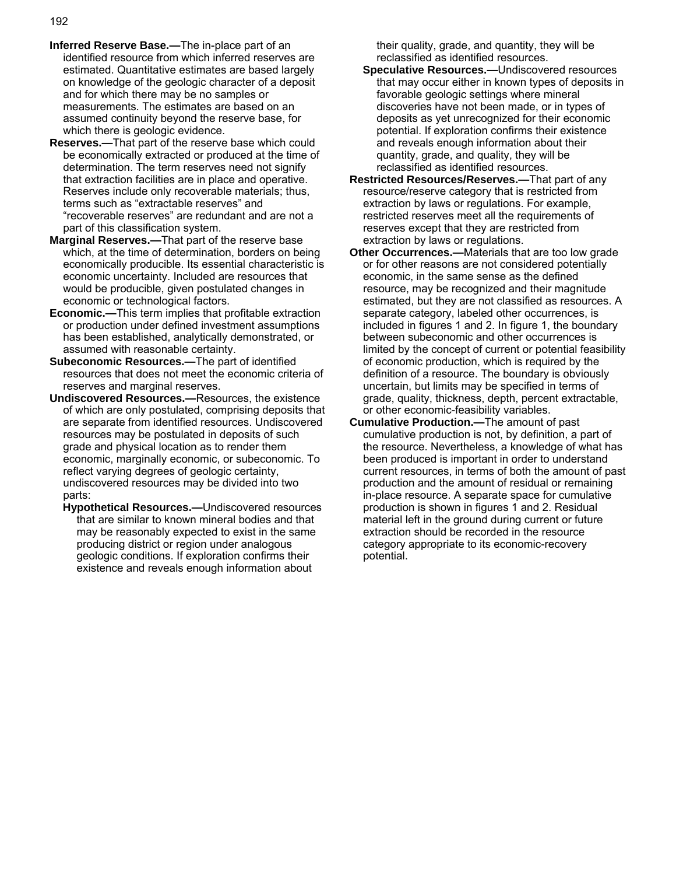- **Inferred Reserve Base.—**The in-place part of an identified resource from which inferred reserves are estimated. Quantitative estimates are based largely on knowledge of the geologic character of a deposit and for which there may be no samples or measurements. The estimates are based on an assumed continuity beyond the reserve base, for which there is geologic evidence.
- **Reserves.—**That part of the reserve base which could be economically extracted or produced at the time of determination. The term reserves need not signify that extraction facilities are in place and operative. Reserves include only recoverable materials; thus, terms such as "extractable reserves" and "recoverable reserves" are redundant and are not a part of this classification system.
- **Marginal Reserves.—**That part of the reserve base which, at the time of determination, borders on being economically producible. Its essential characteristic is economic uncertainty. Included are resources that would be producible, given postulated changes in economic or technological factors.
- **Economic.—**This term implies that profitable extraction or production under defined investment assumptions has been established, analytically demonstrated, or assumed with reasonable certainty.
- **Subeconomic Resources.—**The part of identified resources that does not meet the economic criteria of reserves and marginal reserves.
- **Undiscovered Resources.—**Resources, the existence of which are only postulated, comprising deposits that are separate from identified resources. Undiscovered resources may be postulated in deposits of such grade and physical location as to render them economic, marginally economic, or subeconomic. To reflect varying degrees of geologic certainty, undiscovered resources may be divided into two parts:
	- **Hypothetical Resources.—**Undiscovered resources that are similar to known mineral bodies and that may be reasonably expected to exist in the same producing district or region under analogous geologic conditions. If exploration confirms their existence and reveals enough information about

their quality, grade, and quantity, they will be reclassified as identified resources.

- **Speculative Resources.—**Undiscovered resources that may occur either in known types of deposits in favorable geologic settings where mineral discoveries have not been made, or in types of deposits as yet unrecognized for their economic potential. If exploration confirms their existence and reveals enough information about their quantity, grade, and quality, they will be reclassified as identified resources.
- **Restricted Resources/Reserves.—**That part of any resource/reserve category that is restricted from extraction by laws or regulations. For example, restricted reserves meet all the requirements of reserves except that they are restricted from extraction by laws or regulations.
- **Other Occurrences.—Materials that are too low grade** or for other reasons are not considered potentially economic, in the same sense as the defined resource, may be recognized and their magnitude estimated, but they are not classified as resources. A separate category, labeled other occurrences, is included in figures 1 and 2. In figure 1, the boundary between subeconomic and other occurrences is limited by the concept of current or potential feasibility of economic production, which is required by the definition of a resource. The boundary is obviously uncertain, but limits may be specified in terms of grade, quality, thickness, depth, percent extractable, or other economic-feasibility variables.
- **Cumulative Production.—**The amount of past cumulative production is not, by definition, a part of the resource. Nevertheless, a knowledge of what has been produced is important in order to understand current resources, in terms of both the amount of past production and the amount of residual or remaining in-place resource. A separate space for cumulative production is shown in figures 1 and 2. Residual material left in the ground during current or future extraction should be recorded in the resource category appropriate to its economic-recovery potential.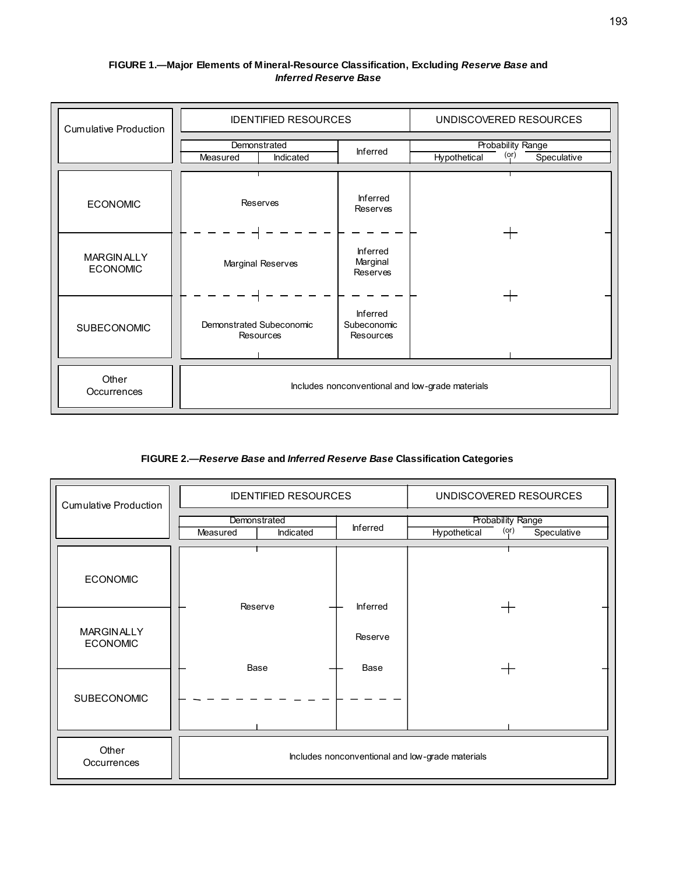#### **FIGURE 1.—Major Elements of Mineral-Resource Classification, Excluding** *Reserve Base* **and**  *Inferred Reserve Base*

| <b>Cumulative Production</b>         | <b>IDENTIFIED RESOURCES</b>                      |                  |                                             | UNDISCOVERED RESOURCES   |            |             |
|--------------------------------------|--------------------------------------------------|------------------|---------------------------------------------|--------------------------|------------|-------------|
|                                      | Demonstrated                                     |                  |                                             | <b>Probability Range</b> |            |             |
|                                      | Measured                                         | Indicated        | <b>Inferred</b>                             | Hypothetical             | $($ or $)$ | Speculative |
| <b>ECONOMIC</b>                      |                                                  | Reserves         | <b>Inferred</b><br>Reserves                 |                          |            |             |
| <b>MARGINALLY</b><br><b>ECONOMIC</b> | Marginal Reserves                                |                  | Inferred<br>Marginal<br>Reserves            |                          |            |             |
| SUBECONOMIC                          | Demonstrated Subeconomic                         | <b>Resources</b> | Inferred<br>Subeconomic<br><b>Resources</b> |                          |            |             |
| Other<br>Occurrences                 | Includes nonconventional and low-grade materials |                  |                                             |                          |            |             |

**FIGURE 2.—***Reserve Base* **and** *Inferred Reserve Base* **Classification Categories**

| <b>Cumulative Production</b>         | <b>IDENTIFIED RESOURCES</b>                      |  |          | UNDISCOVERED RESOURCES                                                |  |  |  |
|--------------------------------------|--------------------------------------------------|--|----------|-----------------------------------------------------------------------|--|--|--|
|                                      | Demonstrated<br>Indicated<br>Measured            |  | Inferred | <b>Probability Range</b><br>$($ or $)$<br>Hypothetical<br>Speculative |  |  |  |
|                                      |                                                  |  |          |                                                                       |  |  |  |
| <b>ECONOMIC</b>                      | Reserve<br>Base                                  |  | Inferred |                                                                       |  |  |  |
| <b>MARGINALLY</b><br><b>ECONOMIC</b> |                                                  |  | Reserve  |                                                                       |  |  |  |
| SUBECONOMIC                          |                                                  |  | Base     |                                                                       |  |  |  |
| Other<br>Occurrences                 | Includes nonconventional and low-grade materials |  |          |                                                                       |  |  |  |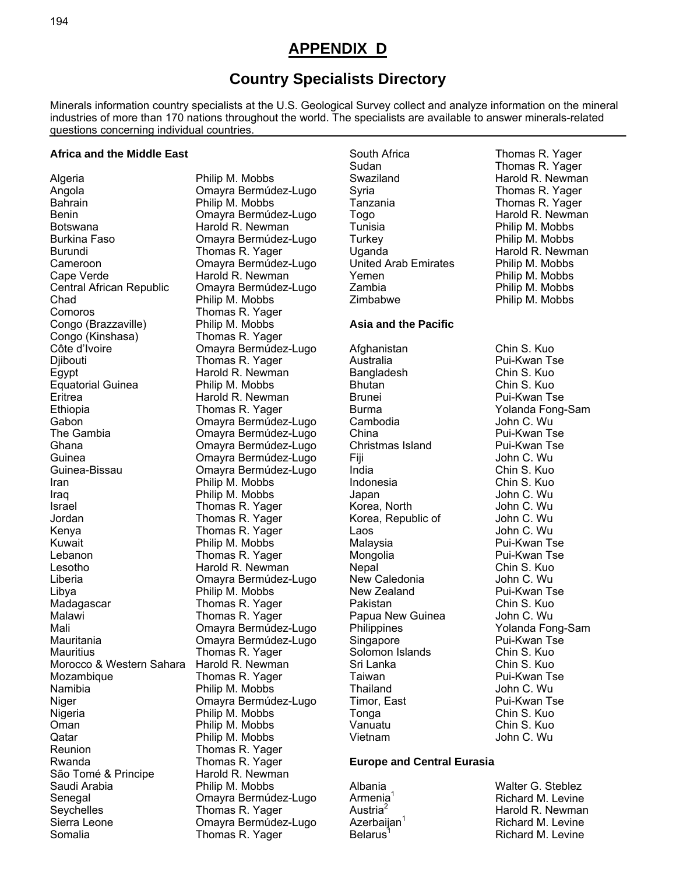## **APPENDIX D**

## **Country Specialists Directory**

Minerals information country specialists at the U.S. Geological Survey collect and analyze information on the mineral industries of more than 170 nations throughout the world. The specialists are available to answer minerals-related questions concerning individual countries.

#### **Africa and the Middle East**

Algeria **Philip M. Mobbs** Angola Omayra Bermúdez-Lugo Benin Omayra Bermúdez-Lugo Botswana **Harold R. Newman** Burkina Faso Omayra Bermúdez-Lugo Burundi Thomas R. Yager Cameroon Cameroon Comayra Bermúdez-Lugo<br>Cape Verde Cape Harold R. Newman Central African Republic Omayra Bermúdez-Lugo Chad Philip M. Mobbs Comoros Thomas R. Yager Congo (Brazzaville) Philip M. Mobbs Congo (Kinshasa) Thomas R. Yager Djibouti Thomas R. Yager Egypt **Frankland B. Newman**<br>Equatorial Guinea **Frankland B. Hollow** Philip M. Mobbs **Equatorial Guinea** Eritrea **Harold R. Newman** Ethiopia Thomas R. Yager The Gambia Omayra Bermúdez-Lugo Ghana Omayra Bermúdez-Lugo Guinea Omayra Bermúdez-Lugo Guinea-Bissau Omayra Bermúdez-Lugo Iran Philip M. Mobbs Iraq Philip M. Mobbs Israel Thomas R. Yager Jordan **Thomas R. Yager** Kenya Thomas R. Yager Kuwait **Philip M. Mobbs** Lebanon **Thomas R. Yager**<br>Lesotho **Thard Harold R. Newma** Liberia Omayra Bermúdez-Lugo Libya Philip M. Mobbs Madagascar Thomas R. Yager Malawi **Thomas R. Yager** Mali Omayra Bermúdez-Lugo Mauritius **Thomas R. Yager** Morocco & Western Sahara Harold R. Newman Mozambique Thomas R. Yager Namibia Philip M. Mobbs Niger Omayra Bermúdez-Lugo Oman Philip M. Mobbs Qatar **Philip M. Mobbs** Reunion **Thomas R. Yager** Rwanda Thomas R. Yager São Tomé & Principe **Harold R. Newman**<br>Saudi Arabia **March** Philip M. Mobbs Senegal **Omayra Bermúdez-Lugo** Seychelles Thomas R. Yager Sierra Leone **Omayra Bermudez-Lugo** Somalia Thomas R. Yager

Philip M. Mobbs Harold R. Newman Omayra Bermúdez-Lugo Omayra Bermúdez-Lugo Harold R. Newman Omayra Bermúdez-Lugo Philip M. Mobbs Philip M. Mobbs

Sudan Thomas R. Yager Swaziland Harold R. Newman Syria **Thomas R. Yager**<br>Tanzania **Thomas R. Yager** Togo **Harold R. Newman** Tunisia Philip M. Mobbs Turkey Philip M. Mobbs Uganda **Harold R. Newman** United Arab Emirates Philip M. Mobbs<br>
Yemen Philip M. Mobbs Zambia Philip M. Mobbs Zimbabwe Philip M. Mobbs

#### **Asia and the Pacific**

Afghanistan Chin S. Kuo Australia Pui-Kwan Tse Bangladesh Chin S. Kuo Bhutan Chin S. Kuo Brunei **Pui-Kwan Tse** China **Pui-Kwan Tse** Christmas Island Pui-Kwan Tse Fiji John C. Wu India Chin S. Kuo Indonesia Chin S. Kuo Japan John C. Wu Korea, North John C. Wu<br>Korea, Republic of John C. Wu Korea, Republic of Laos John C. Wu Mongolia Pui-Kwan Tse New Caledonia **John C. Wu** New Zealand Pui-Kwan Tse Pakistan Chin S. Kuo Papua New Guinea John C. Wu Singapore Pui-Kwan Tse Solomon Islands Chin S. Kuo Sri Lanka Chin S. Kuo Taiwan Pui-Kwan Tse Thailand John C. Wu Timor, East Pui-Kwan Tse Vanuatu Chin S. Kuo Vietnam John C. Wu

South Africa **Thomas R. Yager** Thomas R. Yager Philip M. Mobbs

Burma Yolanda Fong-Sam<br>Cambodia John C. Wu John C. Wu Pui-Kwan Tse Chin S. Kuo Philippines Yolanda Fong-Sam Chin S. Kuo

#### **Europe and Central Eurasia**

Armenia<sup>1</sup> Austria<sup>2</sup> Azerbaijan<sup>1</sup> **Belarus** 

Albania Walter G. Steblez Richard M. Levine Harold R. Newman Richard M. Levine Richard M. Levine